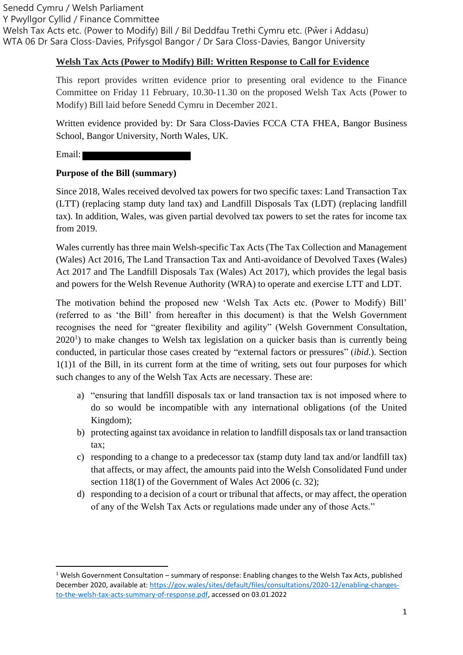#### **Welsh Tax Acts (Power to Modify) Bill: Written Response to Call for Evidence**

This report provides written evidence prior to presenting oral evidence to the Finance Committee on Friday 11 February, 10.30-11.30 on the proposed Welsh Tax Acts (Power to Modify) Bill laid before Senedd Cymru in December 2021.

Written evidence provided by: Dr Sara Closs-Davies FCCA CTA FHEA, Bangor Business School, Bangor University, North Wales, UK.

Email:

#### **Purpose of the Bill (summary)**

Since 2018, Wales received devolved tax powers for two specific taxes: Land Transaction Tax (LTT) (replacing stamp duty land tax) and Landfill Disposals Tax (LDT) (replacing landfill tax). In addition, Wales, was given partial devolved tax powers to set the rates for income tax from 2019.

Wales currently has three main Welsh-specific Tax Acts (The Tax Collection and Management (Wales) Act 2016, The Land Transaction Tax and Anti-avoidance of Devolved Taxes (Wales) Act 2017 and The Landfill Disposals Tax (Wales) Act 2017), which provides the legal basis and powers for the Welsh Revenue Authority (WRA) to operate and exercise LTT and LDT.

The motivation behind the proposed new 'Welsh Tax Acts etc. (Power to Modify) Bill' (referred to as 'the Bill' from hereafter in this document) is that the Welsh Government recognises the need for "greater flexibility and agility" (Welsh Government Consultation,  $2020<sup>1</sup>$ ) to make changes to Welsh tax legislation on a quicker basis than is currently being conducted, in particular those cases created by "external factors or pressures" (*ibid*.). Section 1(1)1 of the Bill, in its current form at the time of writing, sets out four purposes for which such changes to any of the Welsh Tax Acts are necessary. These are:

- a) "ensuring that landfill disposals tax or land transaction tax is not imposed where to do so would be incompatible with any international obligations (of the United Kingdom);
- b) protecting against tax avoidance in relation to landfill disposals tax or land transaction tax;
- c) responding to a change to a predecessor tax (stamp duty land tax and/or landfill tax) that affects, or may affect, the amounts paid into the Welsh Consolidated Fund under section 118(1) of the Government of Wales Act 2006 (c. 32):
- d) responding to a decision of a court or tribunal that affects, or may affect, the operation of any of the Welsh Tax Acts or regulations made under any of those Acts."

<sup>&</sup>lt;sup>1</sup> Welsh Government Consultation – summary of response: Enabling changes to the Welsh Tax Acts, published December 2020, available at[: https://gov.wales/sites/default/files/consultations/2020-12/enabling-changes](https://gov.wales/sites/default/files/consultations/2020-12/enabling-changes-to-the-welsh-tax-acts-summary-of-response.pdf)[to-the-welsh-tax-acts-summary-of-response.pdf,](https://gov.wales/sites/default/files/consultations/2020-12/enabling-changes-to-the-welsh-tax-acts-summary-of-response.pdf) accessed on 03.01.2022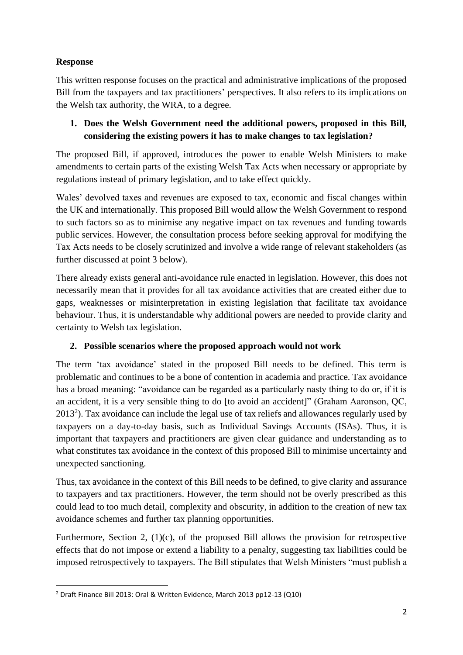# **Response**

This written response focuses on the practical and administrative implications of the proposed Bill from the taxpayers and tax practitioners' perspectives. It also refers to its implications on the Welsh tax authority, the WRA, to a degree.

## **1. Does the Welsh Government need the additional powers, proposed in this Bill, considering the existing powers it has to make changes to tax legislation?**

The proposed Bill, if approved, introduces the power to enable Welsh Ministers to make amendments to certain parts of the existing Welsh Tax Acts when necessary or appropriate by regulations instead of primary legislation, and to take effect quickly.

Wales' devolved taxes and revenues are exposed to tax, economic and fiscal changes within the UK and internationally. This proposed Bill would allow the Welsh Government to respond to such factors so as to minimise any negative impact on tax revenues and funding towards public services. However, the consultation process before seeking approval for modifying the Tax Acts needs to be closely scrutinized and involve a wide range of relevant stakeholders (as further discussed at point 3 below).

There already exists general anti-avoidance rule enacted in legislation. However, this does not necessarily mean that it provides for all tax avoidance activities that are created either due to gaps, weaknesses or misinterpretation in existing legislation that facilitate tax avoidance behaviour. Thus, it is understandable why additional powers are needed to provide clarity and certainty to Welsh tax legislation.

# **2. Possible scenarios where the proposed approach would not work**

The term 'tax avoidance' stated in the proposed Bill needs to be defined. This term is problematic and continues to be a bone of contention in academia and practice. Tax avoidance has a broad meaning: "avoidance can be regarded as a particularly nasty thing to do or, if it is an accident, it is a very sensible thing to do [to avoid an accident]" (Graham Aaronson, QC,  $2013<sup>2</sup>$ ). Tax avoidance can include the legal use of tax reliefs and allowances regularly used by taxpayers on a day-to-day basis, such as Individual Savings Accounts (ISAs). Thus, it is important that taxpayers and practitioners are given clear guidance and understanding as to what constitutes tax avoidance in the context of this proposed Bill to minimise uncertainty and unexpected sanctioning.

Thus, tax avoidance in the context of this Bill needs to be defined, to give clarity and assurance to taxpayers and tax practitioners. However, the term should not be overly prescribed as this could lead to too much detail, complexity and obscurity, in addition to the creation of new tax avoidance schemes and further tax planning opportunities.

Furthermore, Section 2, (1)(c), of the proposed Bill allows the provision for retrospective effects that do not impose or extend a liability to a penalty, suggesting tax liabilities could be imposed retrospectively to taxpayers. The Bill stipulates that Welsh Ministers "must publish a

<sup>2</sup> Draft Finance Bill 2013: Oral & Written Evidence, March 2013 pp12-13 (Q10)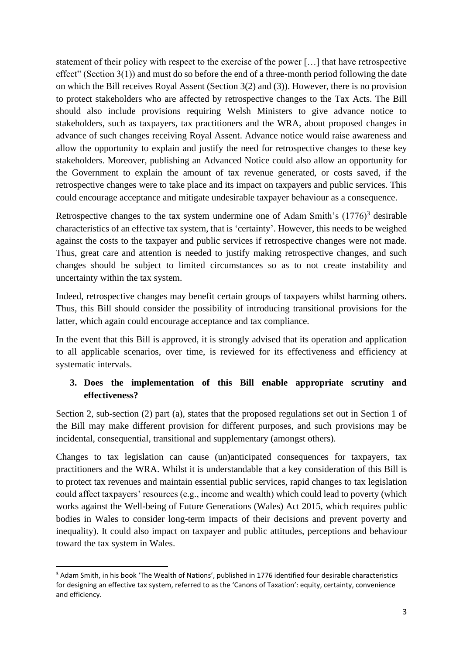statement of their policy with respect to the exercise of the power […] that have retrospective effect" (Section 3(1)) and must do so before the end of a three-month period following the date on which the Bill receives Royal Assent (Section 3(2) and (3)). However, there is no provision to protect stakeholders who are affected by retrospective changes to the Tax Acts. The Bill should also include provisions requiring Welsh Ministers to give advance notice to stakeholders, such as taxpayers, tax practitioners and the WRA, about proposed changes in advance of such changes receiving Royal Assent. Advance notice would raise awareness and allow the opportunity to explain and justify the need for retrospective changes to these key stakeholders. Moreover, publishing an Advanced Notice could also allow an opportunity for the Government to explain the amount of tax revenue generated, or costs saved, if the retrospective changes were to take place and its impact on taxpayers and public services. This could encourage acceptance and mitigate undesirable taxpayer behaviour as a consequence.

Retrospective changes to the tax system undermine one of Adam Smith's  $(1776)^3$  desirable characteristics of an effective tax system, that is 'certainty'. However, this needs to be weighed against the costs to the taxpayer and public services if retrospective changes were not made. Thus, great care and attention is needed to justify making retrospective changes, and such changes should be subject to limited circumstances so as to not create instability and uncertainty within the tax system.

Indeed, retrospective changes may benefit certain groups of taxpayers whilst harming others. Thus, this Bill should consider the possibility of introducing transitional provisions for the latter, which again could encourage acceptance and tax compliance.

In the event that this Bill is approved, it is strongly advised that its operation and application to all applicable scenarios, over time, is reviewed for its effectiveness and efficiency at systematic intervals.

## **3. Does the implementation of this Bill enable appropriate scrutiny and effectiveness?**

Section 2, sub-section (2) part (a), states that the proposed regulations set out in Section 1 of the Bill may make different provision for different purposes, and such provisions may be incidental, consequential, transitional and supplementary (amongst others).

Changes to tax legislation can cause (un)anticipated consequences for taxpayers, tax practitioners and the WRA. Whilst it is understandable that a key consideration of this Bill is to protect tax revenues and maintain essential public services, rapid changes to tax legislation could affect taxpayers' resources (e.g., income and wealth) which could lead to poverty (which works against the Well-being of Future Generations (Wales) Act 2015, which requires public bodies in Wales to consider long-term impacts of their decisions and prevent poverty and inequality). It could also impact on taxpayer and public attitudes, perceptions and behaviour toward the tax system in Wales.

<sup>3</sup> Adam Smith, in his book 'The Wealth of Nations', published in 1776 identified four desirable characteristics for designing an effective tax system, referred to as the 'Canons of Taxation': equity, certainty, convenience and efficiency.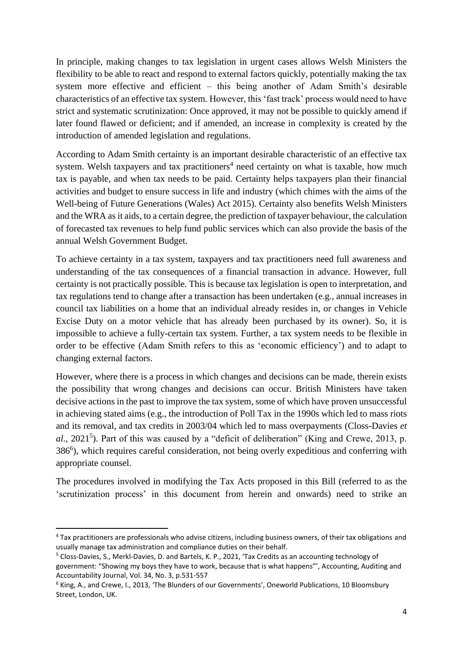In principle, making changes to tax legislation in urgent cases allows Welsh Ministers the flexibility to be able to react and respond to external factors quickly, potentially making the tax system more effective and efficient – this being another of Adam Smith's desirable characteristics of an effective tax system. However, this 'fast track' process would need to have strict and systematic scrutinization: Once approved, it may not be possible to quickly amend if later found flawed or deficient; and if amended, an increase in complexity is created by the introduction of amended legislation and regulations.

According to Adam Smith certainty is an important desirable characteristic of an effective tax system. Welsh taxpayers and tax practitioners<sup>4</sup> need certainty on what is taxable, how much tax is payable, and when tax needs to be paid. Certainty helps taxpayers plan their financial activities and budget to ensure success in life and industry (which chimes with the aims of the Well-being of Future Generations (Wales) Act 2015). Certainty also benefits Welsh Ministers and the WRA as it aids, to a certain degree, the prediction of taxpayer behaviour, the calculation of forecasted tax revenues to help fund public services which can also provide the basis of the annual Welsh Government Budget.

To achieve certainty in a tax system, taxpayers and tax practitioners need full awareness and understanding of the tax consequences of a financial transaction in advance. However, full certainty is not practically possible. This is because tax legislation is open to interpretation, and tax regulations tend to change after a transaction has been undertaken (e.g., annual increases in council tax liabilities on a home that an individual already resides in, or changes in Vehicle Excise Duty on a motor vehicle that has already been purchased by its owner). So, it is impossible to achieve a fully-certain tax system. Further, a tax system needs to be flexible in order to be effective (Adam Smith refers to this as 'economic efficiency') and to adapt to changing external factors.

However, where there is a process in which changes and decisions can be made, therein exists the possibility that wrong changes and decisions can occur. British Ministers have taken decisive actions in the past to improve the tax system, some of which have proven unsuccessful in achieving stated aims (e.g., the introduction of Poll Tax in the 1990s which led to mass riots and its removal, and tax credits in 2003/04 which led to mass overpayments (Closs-Davies *et*  al., 2021<sup>5</sup>). Part of this was caused by a "deficit of deliberation" (King and Crewe, 2013, p. 386<sup>6</sup>), which requires careful consideration, not being overly expeditious and conferring with appropriate counsel.

The procedures involved in modifying the Tax Acts proposed in this Bill (referred to as the 'scrutinization process' in this document from herein and onwards) need to strike an

<sup>4</sup> Tax practitioners are professionals who advise citizens, including business owners, of their tax obligations and usually manage tax administration and compliance duties on their behalf.

<sup>5</sup> Closs-Davies, S., Merkl-Davies, D. and Bartels, K. P., 2021, 'Tax Credits as an accounting technology of government: "Showing my boys they have to work, because that is what happens"', Accounting, Auditing and Accountability Journal, Vol. 34, No. 3, p.531-557

<sup>6</sup> King, A., and Crewe, I., 2013, 'The Blunders of our Governments', Oneworld Publications, 10 Bloomsbury Street, London, UK.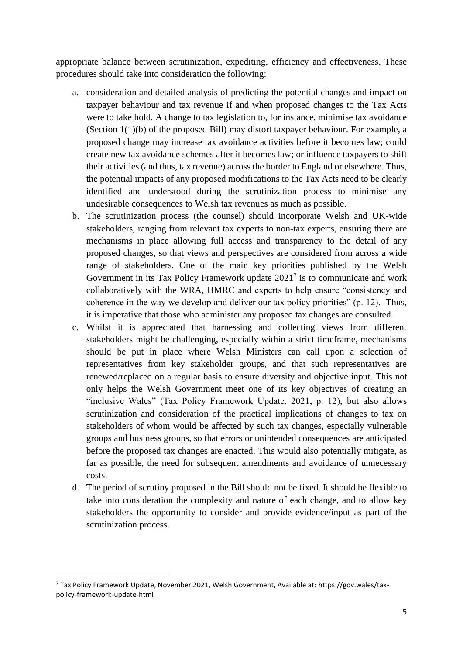appropriate balance between scrutinization, expediting, efficiency and effectiveness. These procedures should take into consideration the following:

- a. consideration and detailed analysis of predicting the potential changes and impact on taxpayer behaviour and tax revenue if and when proposed changes to the Tax Acts were to take hold. A change to tax legislation to, for instance, minimise tax avoidance (Section 1(1)(b) of the proposed Bill) may distort taxpayer behaviour. For example, a proposed change may increase tax avoidance activities before it becomes law; could create new tax avoidance schemes after it becomes law; or influence taxpayers to shift their activities (and thus, tax revenue) across the border to England or elsewhere. Thus, the potential impacts of any proposed modifications to the Tax Acts need to be clearly identified and understood during the scrutinization process to minimise any undesirable consequences to Welsh tax revenues as much as possible.
- b. The scrutinization process (the counsel) should incorporate Welsh and UK-wide stakeholders, ranging from relevant tax experts to non-tax experts, ensuring there are mechanisms in place allowing full access and transparency to the detail of any proposed changes, so that views and perspectives are considered from across a wide range of stakeholders. One of the main key priorities published by the Welsh Government in its Tax Policy Framework update  $2021<sup>7</sup>$  is to communicate and work collaboratively with the WRA, HMRC and experts to help ensure "consistency and coherence in the way we develop and deliver our tax policy priorities" (p. 12). Thus, it is imperative that those who administer any proposed tax changes are consulted.
- c. Whilst it is appreciated that harnessing and collecting views from different stakeholders might be challenging, especially within a strict timeframe, mechanisms should be put in place where Welsh Ministers can call upon a selection of representatives from key stakeholder groups, and that such representatives are renewed/replaced on a regular basis to ensure diversity and objective input. This not only helps the Welsh Government meet one of its key objectives of creating an "inclusive Wales" (Tax Policy Framework Update, 2021, p. 12), but also allows scrutinization and consideration of the practical implications of changes to tax on stakeholders of whom would be affected by such tax changes, especially vulnerable groups and business groups, so that errors or unintended consequences are anticipated before the proposed tax changes are enacted. This would also potentially mitigate, as far as possible, the need for subsequent amendments and avoidance of unnecessary costs.
- d. The period of scrutiny proposed in the Bill should not be fixed. It should be flexible to take into consideration the complexity and nature of each change, and to allow key stakeholders the opportunity to consider and provide evidence/input as part of the scrutinization process.

 $7$  Tax Policy Framework Update, November 2021, Welsh Government, Available at: https://gov.wales/taxpolicy-framework-update-html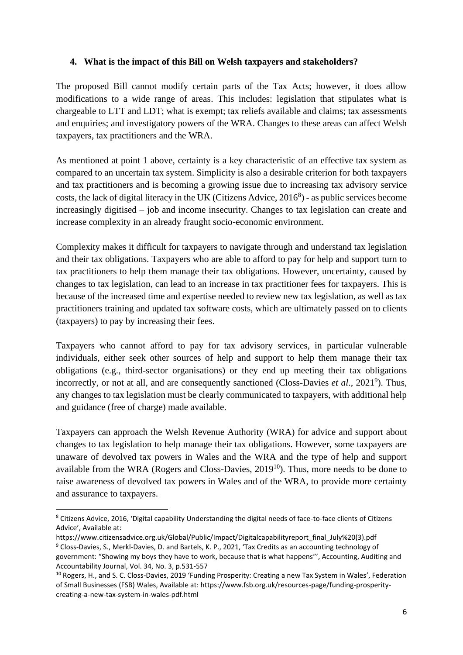#### **4. What is the impact of this Bill on Welsh taxpayers and stakeholders?**

The proposed Bill cannot modify certain parts of the Tax Acts; however, it does allow modifications to a wide range of areas. This includes: legislation that stipulates what is chargeable to LTT and LDT; what is exempt; tax reliefs available and claims; tax assessments and enquiries; and investigatory powers of the WRA. Changes to these areas can affect Welsh taxpayers, tax practitioners and the WRA.

As mentioned at point 1 above, certainty is a key characteristic of an effective tax system as compared to an uncertain tax system. Simplicity is also a desirable criterion for both taxpayers and tax practitioners and is becoming a growing issue due to increasing tax advisory service costs, the lack of digital literacy in the UK (Citizens Advice, 2016<sup>8</sup>) - as public services become increasingly digitised – job and income insecurity. Changes to tax legislation can create and increase complexity in an already fraught socio-economic environment.

Complexity makes it difficult for taxpayers to navigate through and understand tax legislation and their tax obligations. Taxpayers who are able to afford to pay for help and support turn to tax practitioners to help them manage their tax obligations. However, uncertainty, caused by changes to tax legislation, can lead to an increase in tax practitioner fees for taxpayers. This is because of the increased time and expertise needed to review new tax legislation, as well as tax practitioners training and updated tax software costs, which are ultimately passed on to clients (taxpayers) to pay by increasing their fees.

Taxpayers who cannot afford to pay for tax advisory services, in particular vulnerable individuals, either seek other sources of help and support to help them manage their tax obligations (e.g., third-sector organisations) or they end up meeting their tax obligations incorrectly, or not at all, and are consequently sanctioned (Closs-Davies *et al.*, 2021<sup>9</sup>). Thus, any changes to tax legislation must be clearly communicated to taxpayers, with additional help and guidance (free of charge) made available.

Taxpayers can approach the Welsh Revenue Authority (WRA) for advice and support about changes to tax legislation to help manage their tax obligations. However, some taxpayers are unaware of devolved tax powers in Wales and the WRA and the type of help and support available from the WRA (Rogers and Closs-Davies,  $2019^{10}$ ). Thus, more needs to be done to raise awareness of devolved tax powers in Wales and of the WRA, to provide more certainty and assurance to taxpayers.

<sup>8</sup> Citizens Advice, 2016, 'Digital capability Understanding the digital needs of face-to-face clients of Citizens Advice', Available at:

https://www.citizensadvice.org.uk/Global/Public/Impact/Digitalcapabilityreport\_final\_July%20(3).pdf <sup>9</sup> Closs-Davies, S., Merkl-Davies, D. and Bartels, K. P., 2021, 'Tax Credits as an accounting technology of government: "Showing my boys they have to work, because that is what happens"', Accounting, Auditing and Accountability Journal, Vol. 34, No. 3, p.531-557

<sup>&</sup>lt;sup>10</sup> Rogers, H., and S. C. Closs-Davies, 2019 'Funding Prosperity: Creating a new Tax System in Wales', Federation of Small Businesses (FSB) Wales, Available at: https://www.fsb.org.uk/resources-page/funding-prosperitycreating-a-new-tax-system-in-wales-pdf.html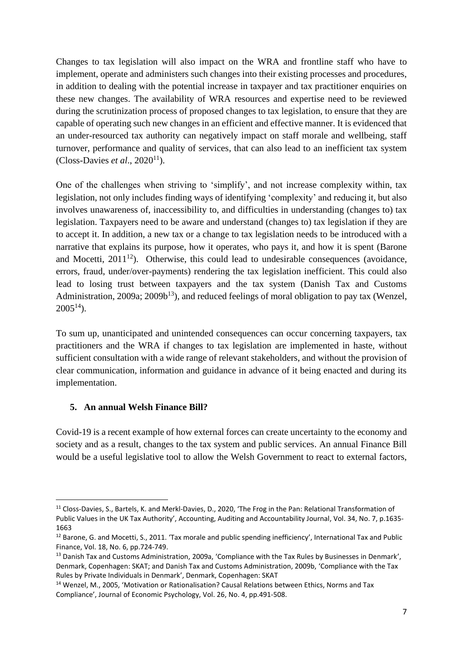Changes to tax legislation will also impact on the WRA and frontline staff who have to implement, operate and administers such changes into their existing processes and procedures, in addition to dealing with the potential increase in taxpayer and tax practitioner enquiries on these new changes. The availability of WRA resources and expertise need to be reviewed during the scrutinization process of proposed changes to tax legislation, to ensure that they are capable of operating such new changes in an efficient and effective manner. It is evidenced that an under-resourced tax authority can negatively impact on staff morale and wellbeing, staff turnover, performance and quality of services, that can also lead to an inefficient tax system  $(Closs\text{-}Davisset al., 2020<sup>11</sup>).$ 

One of the challenges when striving to 'simplify', and not increase complexity within, tax legislation, not only includes finding ways of identifying 'complexity' and reducing it, but also involves unawareness of, inaccessibility to, and difficulties in understanding (changes to) tax legislation. Taxpayers need to be aware and understand (changes to) tax legislation if they are to accept it. In addition, a new tax or a change to tax legislation needs to be introduced with a narrative that explains its purpose, how it operates, who pays it, and how it is spent (Barone and Mocetti,  $2011^{12}$ ). Otherwise, this could lead to undesirable consequences (avoidance, errors, fraud, under/over-payments) rendering the tax legislation inefficient. This could also lead to losing trust between taxpayers and the tax system (Danish Tax and Customs Administration, 2009a; 2009b<sup>13</sup>), and reduced feelings of moral obligation to pay tax (Wenzel,  $2005^{14}$ ).

To sum up, unanticipated and unintended consequences can occur concerning taxpayers, tax practitioners and the WRA if changes to tax legislation are implemented in haste, without sufficient consultation with a wide range of relevant stakeholders, and without the provision of clear communication, information and guidance in advance of it being enacted and during its implementation.

## **5. An annual Welsh Finance Bill?**

Covid-19 is a recent example of how external forces can create uncertainty to the economy and society and as a result, changes to the tax system and public services. An annual Finance Bill would be a useful legislative tool to allow the Welsh Government to react to external factors,

<sup>&</sup>lt;sup>11</sup> Closs-Davies, S., Bartels, K. and Merkl-Davies, D., 2020, 'The Frog in the Pan: Relational Transformation of Public Values in the UK Tax Authority', Accounting, Auditing and Accountability Journal, Vol. 34, No. 7, p.1635- 1663

<sup>&</sup>lt;sup>12</sup> Barone, G. and Mocetti, S., 2011. 'Tax morale and public spending inefficiency', International Tax and Public Finance, Vol. 18, No. 6, pp.724-749.

<sup>13</sup> Danish Tax and Customs Administration, 2009a, 'Compliance with the Tax Rules by Businesses in Denmark', Denmark, Copenhagen: SKAT; and Danish Tax and Customs Administration, 2009b, 'Compliance with the Tax Rules by Private Individuals in Denmark', Denmark, Copenhagen: SKAT

<sup>14</sup> Wenzel, M., 2005, 'Motivation or Rationalisation? Causal Relations between Ethics, Norms and Tax Compliance', Journal of Economic Psychology, Vol. 26, No. 4, pp.491-508.